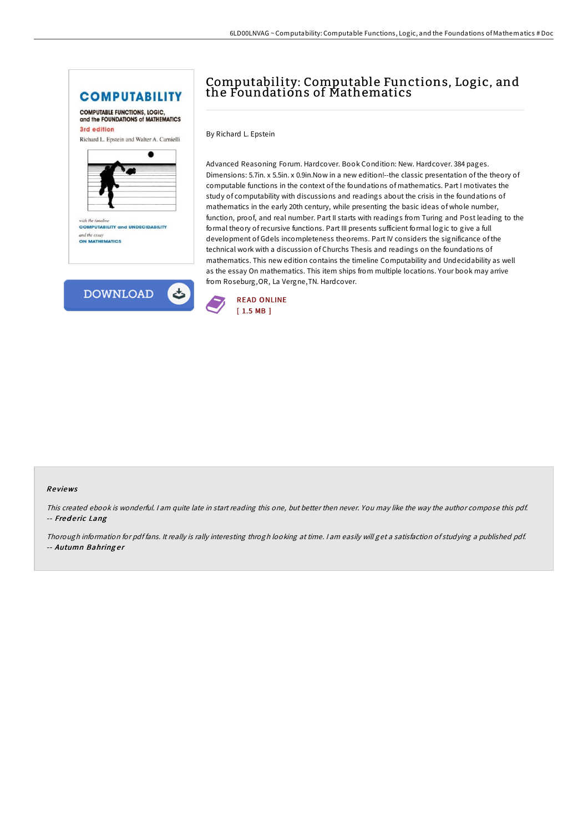





# Computability: Computable Functions, Logic, and the Foundations of Mathematics

By Richard L. Epstein

Advanced Reasoning Forum. Hardcover. Book Condition: New. Hardcover. 384 pages. Dimensions: 5.7in. x 5.5in. x 0.9in.Now in a new edition!--the classic presentation of the theory of computable functions in the context of the foundations of mathematics. Part I motivates the study of computability with discussions and readings about the crisis in the foundations of mathematics in the early 20th century, while presenting the basic ideas of whole number, function, proof, and real number. Part II starts with readings from Turing and Post leading to the formal theory ofrecursive functions. Part III presents sufficient formal logic to give a full development of Gdels incompleteness theorems. Part IV considers the significance of the technical work with a discussion of Churchs Thesis and readings on the foundations of mathematics. This new edition contains the timeline Computability and Undecidability as well as the essay On mathematics. This item ships from multiple locations. Your book may arrive from Roseburg,OR, La Vergne,TN. Hardcover.



#### Re views

This created ebook is wonderful. <sup>I</sup> am quite late in start reading this one, but better then never. You may like the way the author compose this pdf. -- Frederic Lang

Thorough information for pdf fans. It really is rally interesting throgh looking at time. <sup>I</sup> am easily will get <sup>a</sup> satisfaction of studying <sup>a</sup> published pdf. -- Autumn Bahringer